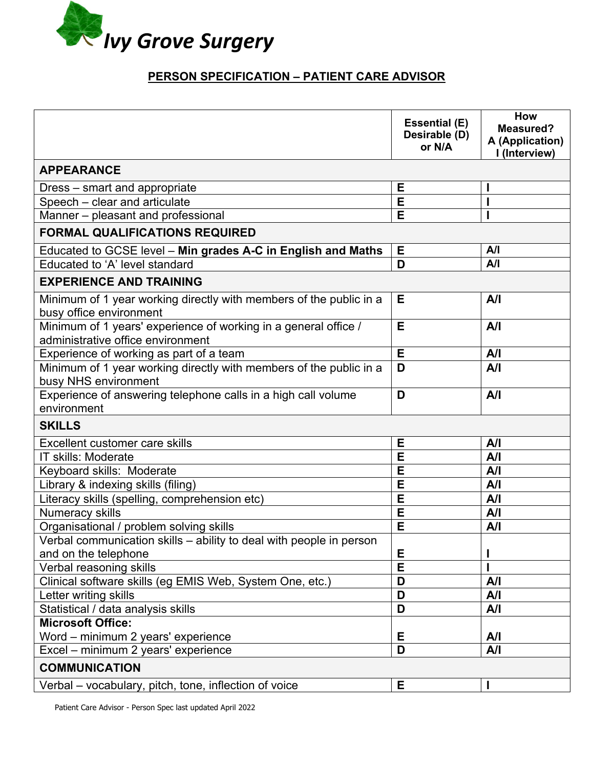

## **PERSON SPECIFICATION – PATIENT CARE ADVISOR**

|                                                                                                      | <b>Essential (E)</b><br>Desirable (D)<br>or N/A | How<br><b>Measured?</b><br>A (Application)<br>I (Interview) |  |
|------------------------------------------------------------------------------------------------------|-------------------------------------------------|-------------------------------------------------------------|--|
| <b>APPEARANCE</b>                                                                                    |                                                 |                                                             |  |
| Dress – smart and appropriate                                                                        | E                                               |                                                             |  |
| Speech - clear and articulate                                                                        | E                                               |                                                             |  |
| Manner - pleasant and professional                                                                   | E                                               |                                                             |  |
| <b>FORMAL QUALIFICATIONS REQUIRED</b>                                                                |                                                 |                                                             |  |
| Educated to GCSE level - Min grades A-C in English and Maths                                         | Е                                               | A/I                                                         |  |
| Educated to 'A' level standard                                                                       | D                                               | A/I                                                         |  |
| <b>EXPERIENCE AND TRAINING</b>                                                                       |                                                 |                                                             |  |
| Minimum of 1 year working directly with members of the public in a<br>busy office environment        | Е                                               | A/I                                                         |  |
| Minimum of 1 years' experience of working in a general office /<br>administrative office environment | Е                                               | A/I                                                         |  |
| Experience of working as part of a team                                                              | E                                               | A/I                                                         |  |
| Minimum of 1 year working directly with members of the public in a<br>busy NHS environment           | D                                               | A/I                                                         |  |
| Experience of answering telephone calls in a high call volume<br>environment                         | D                                               | A/I                                                         |  |
| <b>SKILLS</b>                                                                                        |                                                 |                                                             |  |
| Excellent customer care skills                                                                       | E                                               | A/I                                                         |  |
| IT skills: Moderate                                                                                  | E                                               | A/I                                                         |  |
| Keyboard skills: Moderate                                                                            | E                                               | A/I                                                         |  |
| Library & indexing skills (filing)                                                                   | E                                               | A/I                                                         |  |
| Literacy skills (spelling, comprehension etc)                                                        | E                                               | A/I                                                         |  |
| Numeracy skills                                                                                      | E                                               | A/I                                                         |  |
| Organisational / problem solving skills                                                              | E                                               | A/I                                                         |  |
| Verbal communication skills - ability to deal with people in person                                  |                                                 |                                                             |  |
| and on the telephone                                                                                 | Е                                               |                                                             |  |
| Verbal reasoning skills                                                                              | E                                               |                                                             |  |
| Clinical software skills (eg EMIS Web, System One, etc.)                                             | D                                               | A/I                                                         |  |
| Letter writing skills                                                                                | D                                               | A/I                                                         |  |
| Statistical / data analysis skills                                                                   | D                                               | A/I                                                         |  |
| <b>Microsoft Office:</b>                                                                             |                                                 |                                                             |  |
| Word - minimum 2 years' experience                                                                   | Е                                               | A/I                                                         |  |
| Excel – minimum 2 years' experience                                                                  | D                                               | A/I                                                         |  |
| <b>COMMUNICATION</b>                                                                                 |                                                 |                                                             |  |
| Verbal – vocabulary, pitch, tone, inflection of voice                                                | Е                                               |                                                             |  |

Patient Care Advisor - Person Spec last updated April 2022